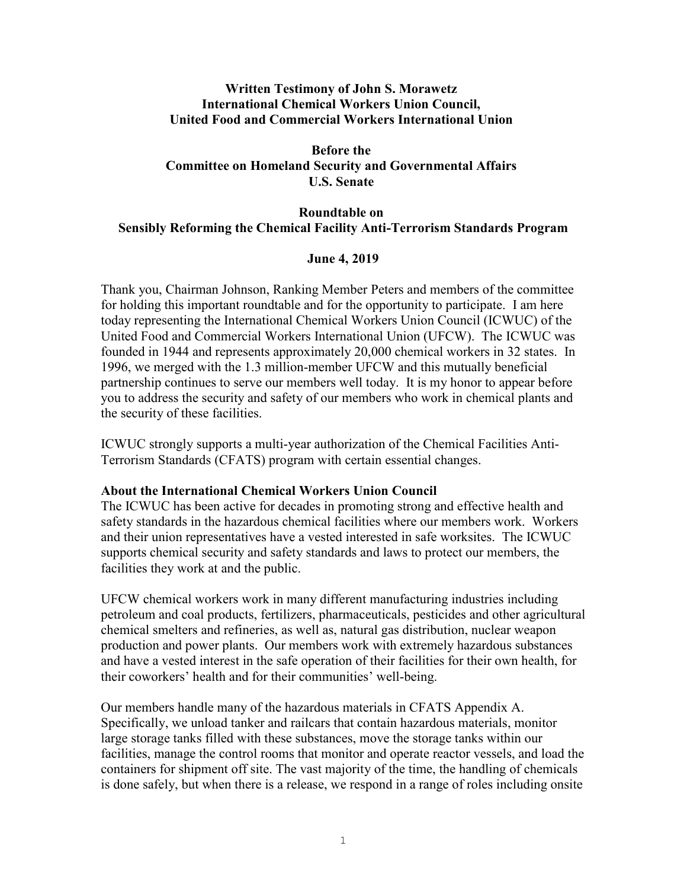## **Written Testimony of John S. Morawetz International Chemical Workers Union Council, United Food and Commercial Workers International Union**

# **Before the Committee on Homeland Security and Governmental Affairs U.S. Senate**

# **Roundtable on Sensibly Reforming the Chemical Facility Anti-Terrorism Standards Program**

## **June 4, 2019**

Thank you, Chairman Johnson, Ranking Member Peters and members of the committee for holding this important roundtable and for the opportunity to participate. I am here today representing the International Chemical Workers Union Council (ICWUC) of the United Food and Commercial Workers International Union (UFCW). The ICWUC was founded in 1944 and represents approximately 20,000 chemical workers in 32 states. In 1996, we merged with the 1.3 million-member UFCW and this mutually beneficial partnership continues to serve our members well today. It is my honor to appear before you to address the security and safety of our members who work in chemical plants and the security of these facilities.

ICWUC strongly supports a multi-year authorization of the Chemical Facilities Anti-Terrorism Standards (CFATS) program with certain essential changes.

### **About the International Chemical Workers Union Council**

The ICWUC has been active for decades in promoting strong and effective health and safety standards in the hazardous chemical facilities where our members work. Workers and their union representatives have a vested interested in safe worksites. The ICWUC supports chemical security and safety standards and laws to protect our members, the facilities they work at and the public.

UFCW chemical workers work in many different manufacturing industries including petroleum and coal products, fertilizers, pharmaceuticals, pesticides and other agricultural chemical smelters and refineries, as well as, natural gas distribution, nuclear weapon production and power plants. Our members work with extremely hazardous substances and have a vested interest in the safe operation of their facilities for their own health, for their coworkers' health and for their communities' well-being.

Our members handle many of the hazardous materials in CFATS Appendix A. Specifically, we unload tanker and railcars that contain hazardous materials, monitor large storage tanks filled with these substances, move the storage tanks within our facilities, manage the control rooms that monitor and operate reactor vessels, and load the containers for shipment off site. The vast majority of the time, the handling of chemicals is done safely, but when there is a release, we respond in a range of roles including onsite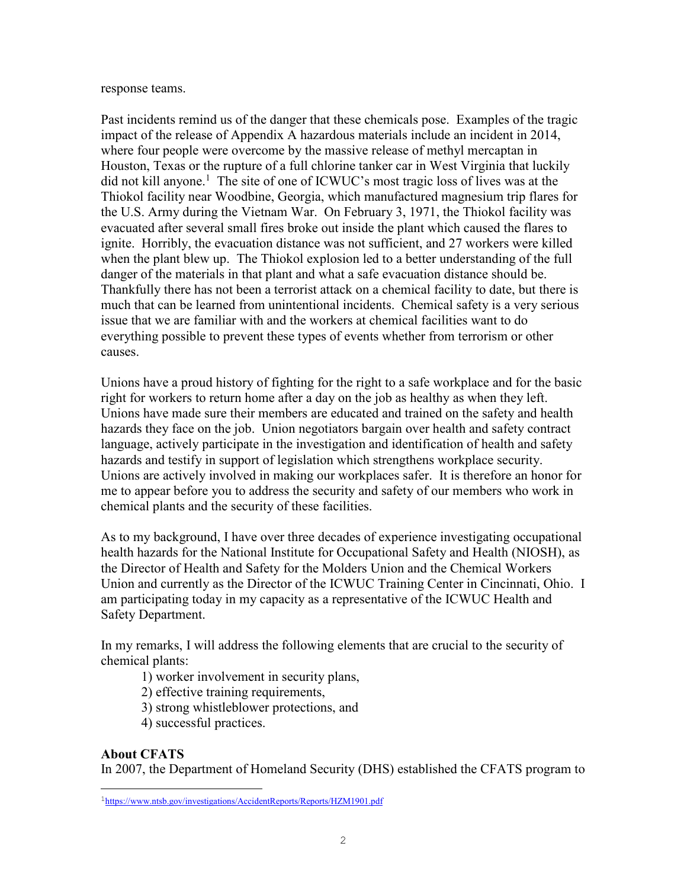#### response teams.

Past incidents remind us of the danger that these chemicals pose. Examples of the tragic impact of the release of Appendix A hazardous materials include an incident in 2014, where four people were overcome by the massive release of methyl mercaptan in Houston, Texas or the rupture of a full chlorine tanker car in West Virginia that luckily did not kill anyone.<sup>1</sup> The site of one of ICWUC's most tragic loss of lives was at the Thiokol facility near Woodbine, Georgia, which manufactured magnesium trip flares for the U.S. Army during the Vietnam War. On February 3, 1971, the Thiokol facility was evacuated after several small fires broke out inside the plant which caused the flares to ignite. Horribly, the evacuation distance was not sufficient, and 27 workers were killed when the plant blew up. The Thiokol explosion led to a better understanding of the full danger of the materials in that plant and what a safe evacuation distance should be. Thankfully there has not been a terrorist attack on a chemical facility to date, but there is much that can be learned from unintentional incidents. Chemical safety is a very serious issue that we are familiar with and the workers at chemical facilities want to do everything possible to prevent these types of events whether from terrorism or other causes.

Unions have a proud history of fighting for the right to a safe workplace and for the basic right for workers to return home after a day on the job as healthy as when they left. Unions have made sure their members are educated and trained on the safety and health hazards they face on the job. Union negotiators bargain over health and safety contract language, actively participate in the investigation and identification of health and safety hazards and testify in support of legislation which strengthens workplace security. Unions are actively involved in making our workplaces safer. It is therefore an honor for me to appear before you to address the security and safety of our members who work in chemical plants and the security of these facilities.

As to my background, I have over three decades of experience investigating occupational health hazards for the National Institute for Occupational Safety and Health (NIOSH), as the Director of Health and Safety for the Molders Union and the Chemical Workers Union and currently as the Director of the ICWUC Training Center in Cincinnati, Ohio. I am participating today in my capacity as a representative of the ICWUC Health and Safety Department.

In my remarks, I will address the following elements that are crucial to the security of chemical plants:

1) worker involvement in security plans,

2) effective training requirements,

3) strong whistleblower protections, and

4) successful practices.

# **About CFATS**

 $\overline{ }$ 

In 2007, the Department of Homeland Security (DHS) established the CFATS program to

<sup>1</sup>https://www.ntsb.gov/investigations/AccidentReports/Reports/HZM1901.pdf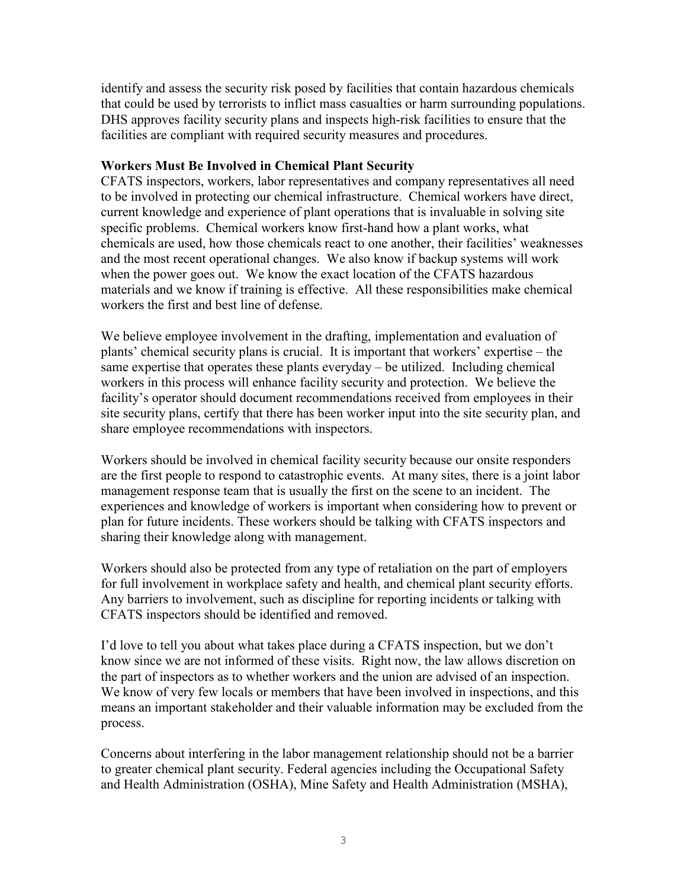identify and assess the security risk posed by facilities that contain hazardous chemicals that could be used by terrorists to inflict mass casualties or harm surrounding populations. DHS approves facility security plans and inspects high-risk facilities to ensure that the facilities are compliant with required security measures and procedures.

## **Workers Must Be Involved in Chemical Plant Security**

CFATS inspectors, workers, labor representatives and company representatives all need to be involved in protecting our chemical infrastructure. Chemical workers have direct, current knowledge and experience of plant operations that is invaluable in solving site specific problems. Chemical workers know first-hand how a plant works, what chemicals are used, how those chemicals react to one another, their facilities' weaknesses and the most recent operational changes. We also know if backup systems will work when the power goes out. We know the exact location of the CFATS hazardous materials and we know if training is effective. All these responsibilities make chemical workers the first and best line of defense.

We believe employee involvement in the drafting, implementation and evaluation of plants' chemical security plans is crucial. It is important that workers' expertise – the same expertise that operates these plants everyday – be utilized. Including chemical workers in this process will enhance facility security and protection. We believe the facility's operator should document recommendations received from employees in their site security plans, certify that there has been worker input into the site security plan, and share employee recommendations with inspectors.

Workers should be involved in chemical facility security because our onsite responders are the first people to respond to catastrophic events. At many sites, there is a joint labor management response team that is usually the first on the scene to an incident. The experiences and knowledge of workers is important when considering how to prevent or plan for future incidents. These workers should be talking with CFATS inspectors and sharing their knowledge along with management.

Workers should also be protected from any type of retaliation on the part of employers for full involvement in workplace safety and health, and chemical plant security efforts. Any barriers to involvement, such as discipline for reporting incidents or talking with CFATS inspectors should be identified and removed.

I'd love to tell you about what takes place during a CFATS inspection, but we don't know since we are not informed of these visits. Right now, the law allows discretion on the part of inspectors as to whether workers and the union are advised of an inspection. We know of very few locals or members that have been involved in inspections, and this means an important stakeholder and their valuable information may be excluded from the process.

Concerns about interfering in the labor management relationship should not be a barrier to greater chemical plant security. Federal agencies including the Occupational Safety and Health Administration (OSHA), Mine Safety and Health Administration (MSHA),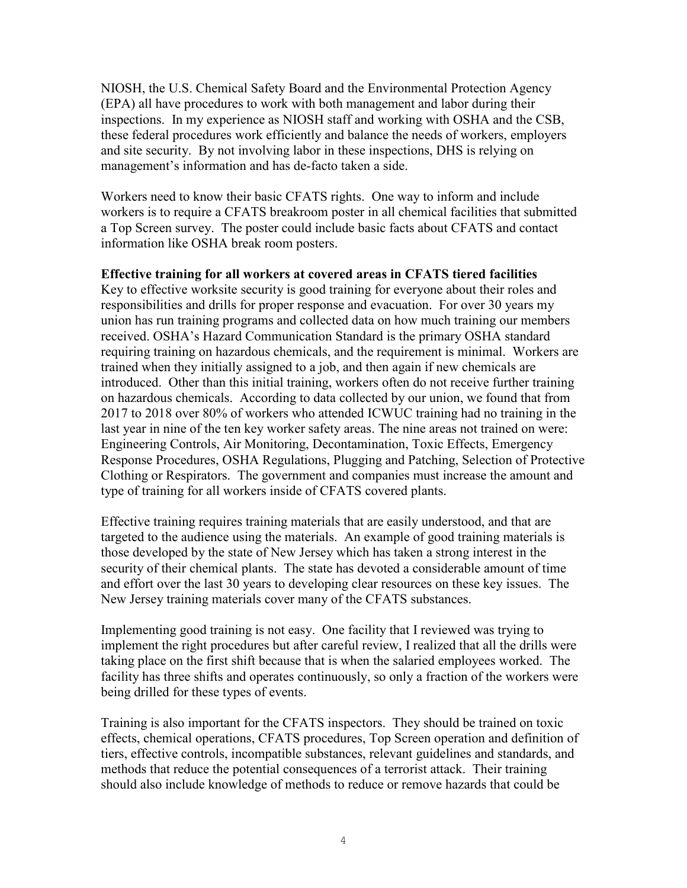NIOSH, the U.S. Chemical Safety Board and the Environmental Protection Agency (EPA) all have procedures to work with both management and labor during their inspections. In my experience as NIOSH staff and working with OSHA and the CSB, these federal procedures work efficiently and balance the needs of workers, employers and site security. By not involving labor in these inspections, DHS is relying on management's information and has de-facto taken a side.

Workers need to know their basic CFATS rights. One way to inform and include workers is to require a CFATS breakroom poster in all chemical facilities that submitted a Top Screen survey. The poster could include basic facts about CFATS and contact information like OSHA break room posters.

### **Effective training for all workers at covered areas in CFATS tiered facilities**

Key to effective worksite security is good training for everyone about their roles and responsibilities and drills for proper response and evacuation. For over 30 years my union has run training programs and collected data on how much training our members received. OSHA's Hazard Communication Standard is the primary OSHA standard requiring training on hazardous chemicals, and the requirement is minimal. Workers are trained when they initially assigned to a job, and then again if new chemicals are introduced. Other than this initial training, workers often do not receive further training on hazardous chemicals. According to data collected by our union, we found that from 2017 to 2018 over 80% of workers who attended ICWUC training had no training in the last year in nine of the ten key worker safety areas. The nine areas not trained on were: Engineering Controls, Air Monitoring, Decontamination, Toxic Effects, Emergency Response Procedures, OSHA Regulations, Plugging and Patching, Selection of Protective Clothing or Respirators. The government and companies must increase the amount and type of training for all workers inside of CFATS covered plants.

Effective training requires training materials that are easily understood, and that are targeted to the audience using the materials. An example of good training materials is those developed by the state of New Jersey which has taken a strong interest in the security of their chemical plants. The state has devoted a considerable amount of time and effort over the last 30 years to developing clear resources on these key issues. The New Jersey training materials cover many of the CFATS substances.

Implementing good training is not easy. One facility that I reviewed was trying to implement the right procedures but after careful review, I realized that all the drills were taking place on the first shift because that is when the salaried employees worked. The facility has three shifts and operates continuously, so only a fraction of the workers were being drilled for these types of events.

Training is also important for the CFATS inspectors. They should be trained on toxic effects, chemical operations, CFATS procedures, Top Screen operation and definition of tiers, effective controls, incompatible substances, relevant guidelines and standards, and methods that reduce the potential consequences of a terrorist attack. Their training should also include knowledge of methods to reduce or remove hazards that could be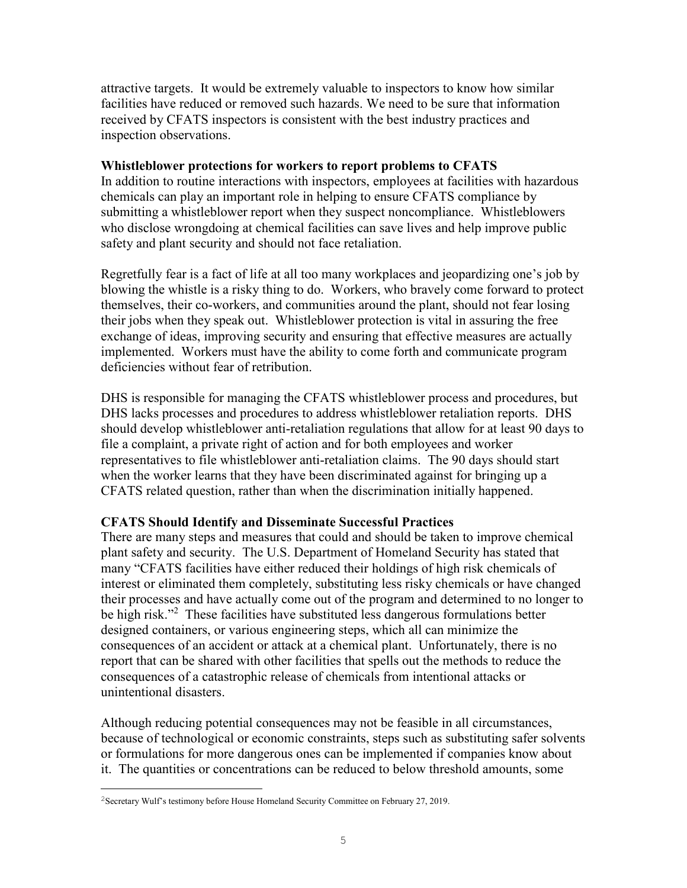attractive targets. It would be extremely valuable to inspectors to know how similar facilities have reduced or removed such hazards. We need to be sure that information received by CFATS inspectors is consistent with the best industry practices and inspection observations.

### **Whistleblower protections for workers to report problems to CFATS**

In addition to routine interactions with inspectors, employees at facilities with hazardous chemicals can play an important role in helping to ensure CFATS compliance by submitting a whistleblower report when they suspect noncompliance. Whistleblowers who disclose wrongdoing at chemical facilities can save lives and help improve public safety and plant security and should not face retaliation.

Regretfully fear is a fact of life at all too many workplaces and jeopardizing one's job by blowing the whistle is a risky thing to do. Workers, who bravely come forward to protect themselves, their co-workers, and communities around the plant, should not fear losing their jobs when they speak out. Whistleblower protection is vital in assuring the free exchange of ideas, improving security and ensuring that effective measures are actually implemented. Workers must have the ability to come forth and communicate program deficiencies without fear of retribution.

DHS is responsible for managing the CFATS whistleblower process and procedures, but DHS lacks processes and procedures to address whistleblower retaliation reports. DHS should develop whistleblower anti-retaliation regulations that allow for at least 90 days to file a complaint, a private right of action and for both employees and worker representatives to file whistleblower anti-retaliation claims. The 90 days should start when the worker learns that they have been discriminated against for bringing up a CFATS related question, rather than when the discrimination initially happened.

### **CFATS Should Identify and Disseminate Successful Practices**

There are many steps and measures that could and should be taken to improve chemical plant safety and security. The U.S. Department of Homeland Security has stated that many "CFATS facilities have either reduced their holdings of high risk chemicals of interest or eliminated them completely, substituting less risky chemicals or have changed their processes and have actually come out of the program and determined to no longer to be high risk."<sup>2</sup> These facilities have substituted less dangerous formulations better designed containers, or various engineering steps, which all can minimize the consequences of an accident or attack at a chemical plant. Unfortunately, there is no report that can be shared with other facilities that spells out the methods to reduce the consequences of a catastrophic release of chemicals from intentional attacks or unintentional disasters.

Although reducing potential consequences may not be feasible in all circumstances, because of technological or economic constraints, steps such as substituting safer solvents or formulations for more dangerous ones can be implemented if companies know about it. The quantities or concentrations can be reduced to below threshold amounts, some

 $\overline{ }$ 

<sup>2</sup>Secretary Wulf's testimony before House Homeland Security Committee on February 27, 2019.